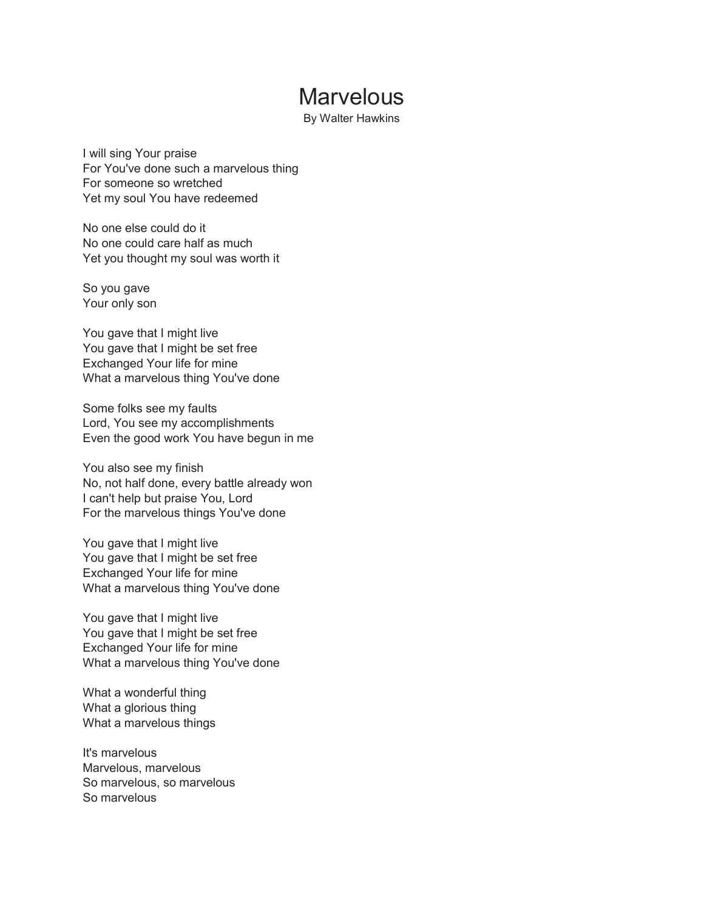## **Marvelous**

By Walter Hawkins

I will sing Your praise For You've done such a marvelous thing For someone so wretched Yet my soul You have redeemed

No one else could do it No one could care half as much Yet you thought my soul was worth it

So you gave Your only son

You gave that I might live You gave that I might be set free Exchanged Your life for mine What a marvelous thing You've done

Some folks see my faults Lord, You see my accomplishments Even the good work You have begun in me

You also see my finish No, not half done, every battle already won I can't help but praise You, Lord For the marvelous things You've done

You gave that I might live You gave that I might be set free Exchanged Your life for mine What a marvelous thing You've done

You gave that I might live You gave that I might be set free Exchanged Your life for mine What a marvelous thing You've done

What a wonderful thing What a glorious thing What a marvelous things

It's marvelous Marvelous, marvelous So marvelous, so marvelous So marvelous